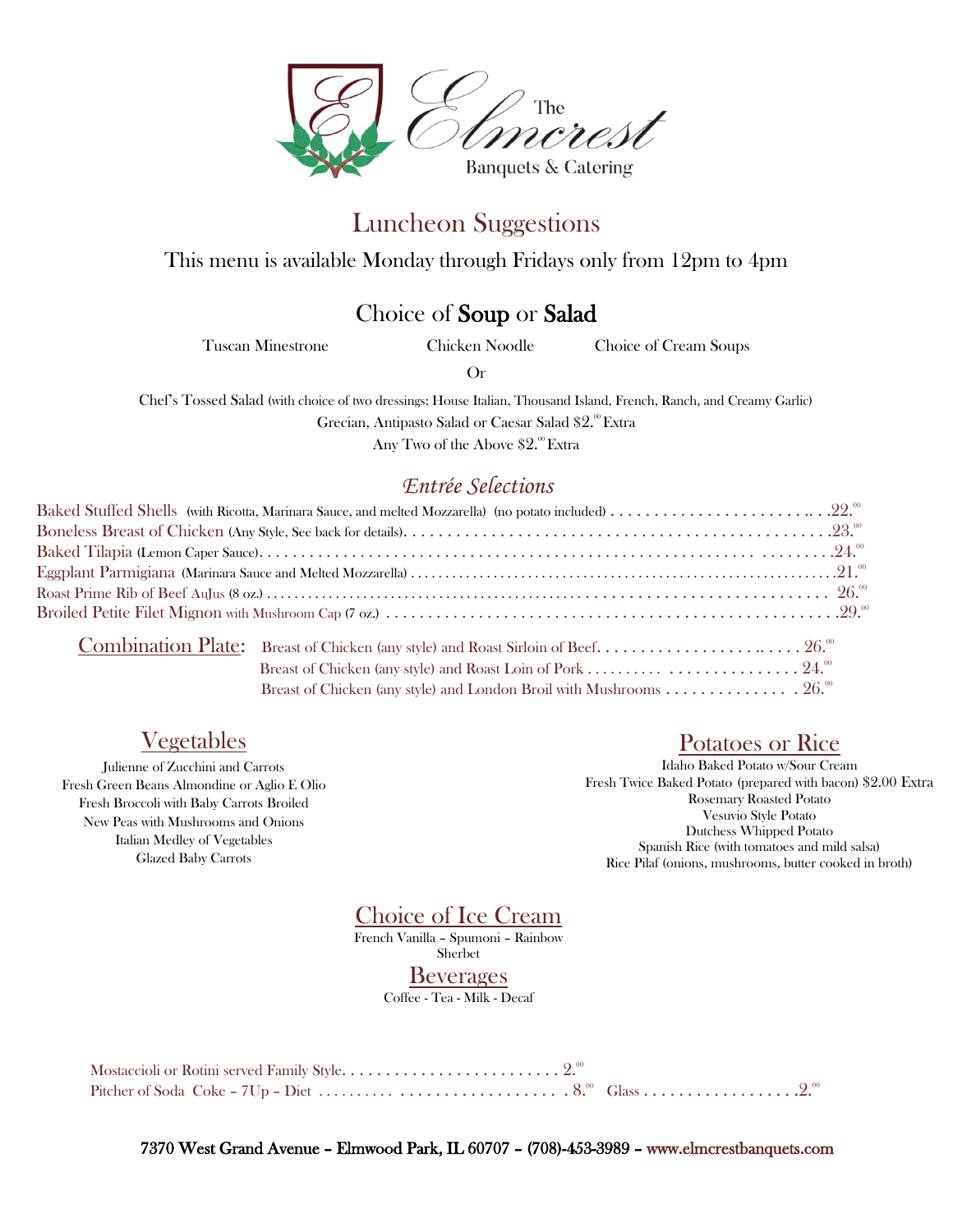

# Luncheon Suggestions

This menu is available Monday through Fridays only from 12pm to 4pm

### Choice of Soup or Salad

Tuscan Minestrone Chicken Noodle Choice of Cream Soups

Or

Chef's Tossed Salad (with choice of two dressings: House Italian, Thousand Island, French, Ranch, and Creamy Garlic) Grecian, Antipasto Salad or Caesar Salad \$2.ºº Extra

Any Two of the Above  $\$2^\mathsf{.00} \mathop{\textrm{Extra}}$ 

#### *Entrée Selections*

|  | Breast of Chicken (any style) and London Broil with Mushrooms 26. <sup>00</sup> |  |
|--|---------------------------------------------------------------------------------|--|

### Vegetables

Julienne of Zucchini and Carrots Fresh Green Beans Almondine or Aglio E Olio Fresh Broccoli with Baby Carrots Broiled New Peas with Mushrooms and Onions Italian Medley of Vegetables Glazed Baby Carrots

#### Potatoes or Rice

Idaho Baked Potato w/Sour Cream Fresh Twice Baked Potato (prepared with bacon) \$2.00 Extra Rosemary Roasted Potato Vesuvio Style Potato Dutchess Whipped Potato Spanish Rice (with tomatoes and mild salsa) Rice Pilaf (onions, mushrooms, butter cooked in broth)

Choice of Ice Cream

French Vanilla – Spumoni – Rainbow Sherbet

**Beverages** 

Coffee - Tea - Milk - Decaf

7370 West Grand Avenue – Elmwood Park, IL 60707 – (708)-453-3989 – www.elmcrestbanquets.com